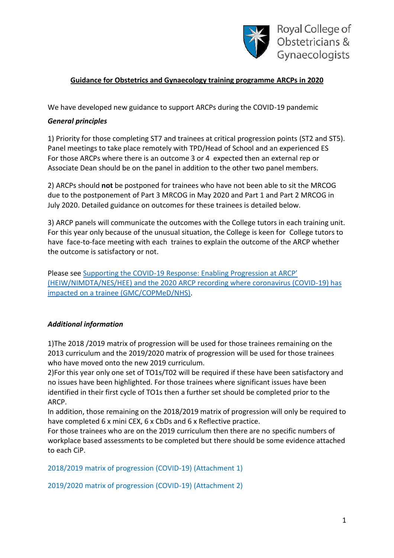

# **Guidance for Obstetrics and Gynaecology training programme ARCPs in 2020**

We have developed new guidance to support ARCPs during the COVID-19 pandemic

#### *General principles*

1) Priority for those completing ST7 and trainees at critical progression points (ST2 and ST5). Panel meetings to take place remotely with TPD/Head of School and an experienced ES For those ARCPs where there is an outcome 3 or 4 expected then an external rep or Associate Dean should be on the panel in addition to the other two panel members.

2) ARCPs should **not** be postponed for trainees who have not been able to sit the MRCOG due to the postponement of Part 3 MRCOG in May 2020 and Part 1 and Part 2 MRCOG in July 2020. Detailed guidance on outcomes for these trainees is detailed below.

3) ARCP panels will communicate the outcomes with the College tutors in each training unit. For this year only because of the unusual situation, the College is keen for College tutors to have face-to-face meeting with each traines to explain the outcome of the ARCP whether the outcome is satisfactory or not.

Please see Supporting the COVID-[19 Response: Enabling Progression at ARCP'](https://www.rcog.org.uk/globalassets/documents/careers-and-training/supporting-the-covid-19-response---enabling-progression-at-arcp.pdf)  [\(HEIW/NIMDTA/NES/HEE\) and the 2020 ARCP recording where coronavirus \(COVID-19\) has](https://www.rcog.org.uk/globalassets/documents/careers-and-training/supporting-the-covid-19-response---enabling-progression-at-arcp.pdf)  [impacted on a trainee \(GMC/COPMeD/NHS\).](https://www.rcog.org.uk/globalassets/documents/careers-and-training/supporting-the-covid-19-response---enabling-progression-at-arcp.pdf)

## *Additional information*

1)The 2018 /2019 matrix of progression will be used for those trainees remaining on the 2013 curriculum and the 2019/2020 matrix of progression will be used for those trainees who have moved onto the new 2019 curriculum.

2)For this year only one set of TO1s/T02 will be required if these have been satisfactory and no issues have been highlighted. For those trainees where significant issues have been identified in their first cycle of TO1s then a further set should be completed prior to the ARCP.

In addition, those remaining on the 2018/2019 matrix of progression will only be required to have completed 6 x mini CEX, 6 x CbDs and 6 x Reflective practice.

For those trainees who are on the 2019 curriculum then there are no specific numbers of workplace based assessments to be completed but there should be some evidence attached to each CiP.

2018/2019 matrix of progression (COVID-19) (Attachment 1)

2019/2020 matrix of progression (COVID-19) (Attachment 2)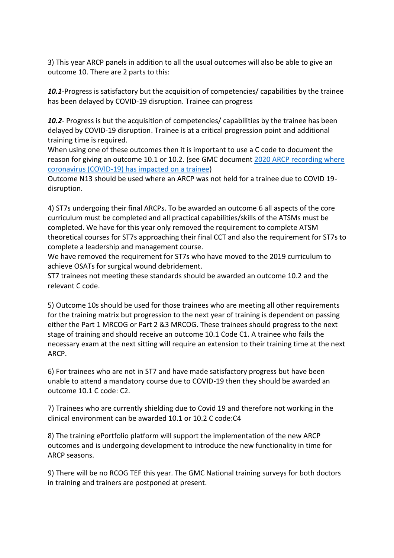3) This year ARCP panels in addition to all the usual outcomes will also be able to give an outcome 10. There are 2 parts to this:

*10.1*-Progress is satisfactory but the acquisition of competencies/ capabilities by the trainee has been delayed by COVID-19 disruption. Trainee can progress

*10.2*- Progress is but the acquisition of competencies/ capabilities by the trainee has been delayed by COVID-19 disruption. Trainee is at a critical progression point and additional training time is required.

When using one of these outcomes then it is important to use a C code to document the reason for giving an outcome 10.1 or 10.2. (see GMC document [2020 ARCP recording where](https://www.rcog.org.uk/globalassets/documents/careers-and-training/2020-arcp-recording-where-coronavirus-covid-19-has-impacted-on-a-trainee.pdf)  [coronavirus \(COVID-19\) has impacted on a trainee\)](https://www.rcog.org.uk/globalassets/documents/careers-and-training/2020-arcp-recording-where-coronavirus-covid-19-has-impacted-on-a-trainee.pdf)

Outcome N13 should be used where an ARCP was not held for a trainee due to COVID 19 disruption.

4) ST7s undergoing their final ARCPs. To be awarded an outcome 6 all aspects of the core curriculum must be completed and all practical capabilities/skills of the ATSMs must be completed. We have for this year only removed the requirement to complete ATSM theoretical courses for ST7s approaching their final CCT and also the requirement for ST7s to complete a leadership and management course.

We have removed the requirement for ST7s who have moved to the 2019 curriculum to achieve OSATs for surgical wound debridement.

ST7 trainees not meeting these standards should be awarded an outcome 10.2 and the relevant C code.

5) Outcome 10s should be used for those trainees who are meeting all other requirements for the training matrix but progression to the next year of training is dependent on passing either the Part 1 MRCOG or Part 2 &3 MRCOG. These trainees should progress to the next stage of training and should receive an outcome 10.1 Code C1. A trainee who fails the necessary exam at the next sitting will require an extension to their training time at the next ARCP.

6) For trainees who are not in ST7 and have made satisfactory progress but have been unable to attend a mandatory course due to COVID-19 then they should be awarded an outcome 10.1 C code: C2.

7) Trainees who are currently shielding due to Covid 19 and therefore not working in the clinical environment can be awarded 10.1 or 10.2 C code:C4

8) The training ePortfolio platform will support the implementation of the new ARCP outcomes and is undergoing development to introduce the new functionality in time for ARCP seasons.

9) There will be no RCOG TEF this year. The GMC National training surveys for both doctors in training and trainers are postponed at present.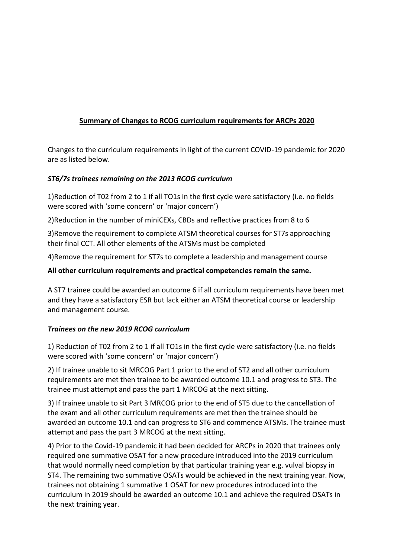# **Summary of Changes to RCOG curriculum requirements for ARCPs 2020**

Changes to the curriculum requirements in light of the current COVID-19 pandemic for 2020 are as listed below.

## *ST6/7s trainees remaining on the 2013 RCOG curriculum*

1)Reduction of T02 from 2 to 1 if all TO1s in the first cycle were satisfactory (i.e. no fields were scored with 'some concern' or 'major concern')

2)Reduction in the number of miniCEXs, CBDs and reflective practices from 8 to 6

3)Remove the requirement to complete ATSM theoretical courses for ST7s approaching their final CCT. All other elements of the ATSMs must be completed

4)Remove the requirement for ST7s to complete a leadership and management course

#### **All other curriculum requirements and practical competencies remain the same.**

A ST7 trainee could be awarded an outcome 6 if all curriculum requirements have been met and they have a satisfactory ESR but lack either an ATSM theoretical course or leadership and management course.

## *Trainees on the new 2019 RCOG curriculum*

1) Reduction of T02 from 2 to 1 if all TO1s in the first cycle were satisfactory (i.e. no fields were scored with 'some concern' or 'major concern')

2) If trainee unable to sit MRCOG Part 1 prior to the end of ST2 and all other curriculum requirements are met then trainee to be awarded outcome 10.1 and progress to ST3. The trainee must attempt and pass the part 1 MRCOG at the next sitting.

3) If trainee unable to sit Part 3 MRCOG prior to the end of ST5 due to the cancellation of the exam and all other curriculum requirements are met then the trainee should be awarded an outcome 10.1 and can progress to ST6 and commence ATSMs. The trainee must attempt and pass the part 3 MRCOG at the next sitting.

4) Prior to the Covid-19 pandemic it had been decided for ARCPs in 2020 that trainees only required one summative OSAT for a new procedure introduced into the 2019 curriculum that would normally need completion by that particular training year e.g. vulval biopsy in ST4. The remaining two summative OSATs would be achieved in the next training year. Now, trainees not obtaining 1 summative 1 OSAT for new procedures introduced into the curriculum in 2019 should be awarded an outcome 10.1 and achieve the required OSATs in the next training year.